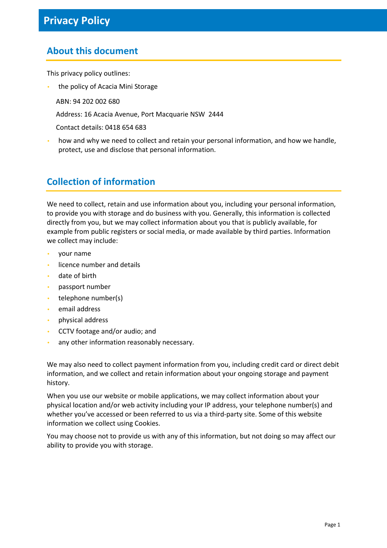## **About this document**

This privacy policy outlines:

- the policy of Acacia Mini Storage
	- ABN: 94 202 002 680
	- Address: 16 Acacia Avenue, Port Macquarie NSW 2444
	- Contact details: 0418 654 683
- how and why we need to collect and retain your personal information, and how we handle, protect, use and disclose that personal information.

#### **Collection of information**

We need to collect, retain and use information about you, including your personal information, to provide you with storage and do business with you. Generally, this information is collected directly from you, but we may collect information about you that is publicly available, for example from public registers or social media, or made available by third parties. Information we collect may include:

- your name
- licence number and details
- date of birth
- passport number
- telephone number(s)
- email address
- physical address
- CCTV footage and/or audio; and
- any other information reasonably necessary.

We may also need to collect payment information from you, including credit card or direct debit information, and we collect and retain information about your ongoing storage and payment history.

When you use our website or mobile applications, we may collect information about your physical location and/or web activity including your IP address, your telephone number(s) and whether you've accessed or been referred to us via a third-party site. Some of this website information we collect using Cookies.

You may choose not to provide us with any of this information, but not doing so may affect our ability to provide you with storage.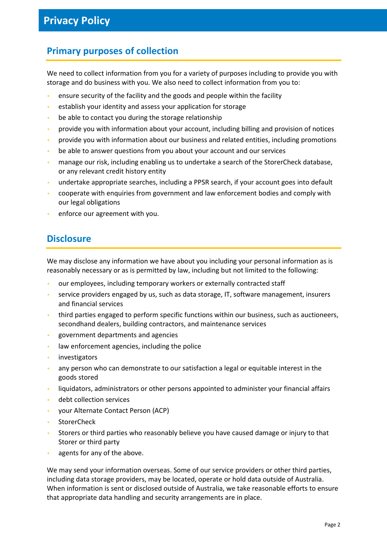### **Primary purposes of collection**

We need to collect information from you for a variety of purposes including to provide you with storage and do business with you. We also need to collect information from you to:

- ensure security of the facility and the goods and people within the facility
- establish your identity and assess your application for storage
- be able to contact you during the storage relationship
- provide you with information about your account, including billing and provision of notices
- provide you with information about our business and related entities, including promotions
- be able to answer questions from you about your account and our services
- manage our risk, including enabling us to undertake a search of the StorerCheck database, or any relevant credit history entity
- undertake appropriate searches, including a PPSR search, if your account goes into default
- cooperate with enquiries from government and law enforcement bodies and comply with our legal obligations
- enforce our agreement with you.

#### **Disclosure**

We may disclose any information we have about you including your personal information as is reasonably necessary or as is permitted by law, including but not limited to the following:

- our employees, including temporary workers or externally contracted staff
- service providers engaged by us, such as data storage, IT, software management, insurers and financial services
- third parties engaged to perform specific functions within our business, such as auctioneers, secondhand dealers, building contractors, and maintenance services
- government departments and agencies
- law enforcement agencies, including the police
- **investigators**
- any person who can demonstrate to our satisfaction a legal or equitable interest in the goods stored
- liquidators, administrators or other persons appointed to administer your financial affairs
- debt collection services
- your Alternate Contact Person (ACP)
- **StorerCheck**
- Storers or third parties who reasonably believe you have caused damage or injury to that Storer or third party
- agents for any of the above.

We may send your information overseas. Some of our service providers or other third parties, including data storage providers, may be located, operate or hold data outside of Australia. When information is sent or disclosed outside of Australia, we take reasonable efforts to ensure that appropriate data handling and security arrangements are in place.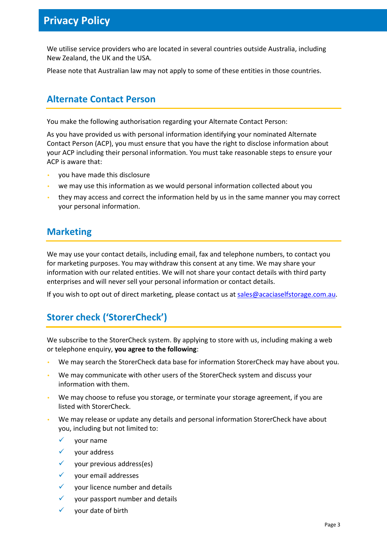# **Privacy Policy**

We utilise service providers who are located in several countries outside Australia, including New Zealand, the UK and the USA.

Please note that Australian law may not apply to some of these entities in those countries.

#### **Alternate Contact Person**

You make the following authorisation regarding your Alternate Contact Person:

As you have provided us with personal information identifying your nominated Alternate Contact Person (ACP), you must ensure that you have the right to disclose information about your ACP including their personal information. You must take reasonable steps to ensure your ACP is aware that:

- you have made this disclosure
- we may use this information as we would personal information collected about you
- they may access and correct the information held by us in the same manner you may correct your personal information.

#### **Marketing**

We may use your contact details, including email, fax and telephone numbers, to contact you for marketing purposes. You may withdraw this consent at any time. We may share your information with our related entities. We will not share your contact details with third party enterprises and will never sell your personal information or contact details.

If you wish to opt out of direct marketing, please contact us at sales@acaciaselfstorage.com.au.

## **Storer check ('StorerCheck')**

We subscribe to the StorerCheck system. By applying to store with us, including making a web or telephone enquiry, **you agree to the following**:

- We may search the StorerCheck data base for information StorerCheck may have about you.
- We may communicate with other users of the StorerCheck system and discuss your information with them.
- We may choose to refuse you storage, or terminate your storage agreement, if you are listed with StorerCheck.
- We may release or update any details and personal information StorerCheck have about you, including but not limited to:
	- $\checkmark$  vour name
	- $\checkmark$  your address
	- $\checkmark$  your previous address(es)
	- your email addresses
	- $\checkmark$  vour licence number and details
	- your passport number and details
	- your date of birth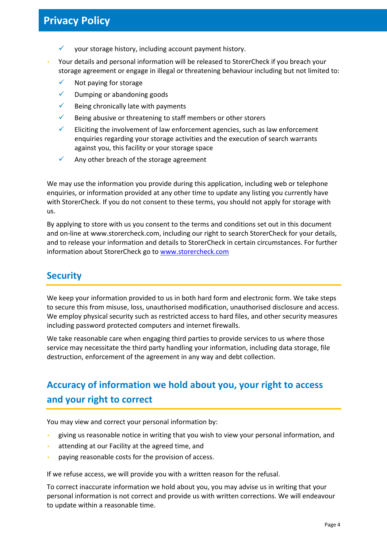- $\checkmark$  your storage history, including account payment history.
- Your details and personal information will be released to StorerCheck if you breach your storage agreement or engage in illegal or threatening behaviour including but not limited to:
	- $\checkmark$  Not paying for storage
	- $\checkmark$  Dumping or abandoning goods
	- $\checkmark$  Being chronically late with payments
	- $\checkmark$  Being abusive or threatening to staff members or other storers
	- $\checkmark$  Eliciting the involvement of law enforcement agencies, such as law enforcement enquiries regarding your storage activities and the execution of search warrants against you, this facility or your storage space
	- $\checkmark$  Any other breach of the storage agreement

We may use the information you provide during this application, including web or telephone enquiries, or information provided at any other time to update any listing you currently have with StorerCheck. If you do not consent to these terms, you should not apply for storage with us.

By applying to store with us you consent to the terms and conditions set out in this document and on-line at www.storercheck.com, including our right to search StorerCheck for your details, and to release your information and details to StorerCheck in certain circumstances. For further information about StorerCheck go to www.storercheck.com

#### **Security**

We keep your information provided to us in both hard form and electronic form. We take steps to secure this from misuse, loss, unauthorised modification, unauthorised disclosure and access. We employ physical security such as restricted access to hard files, and other security measures including password protected computers and internet firewalls.

We take reasonable care when engaging third parties to provide services to us where those service may necessitate the third party handling your information, including data storage, file destruction, enforcement of the agreement in any way and debt collection.

# **Accuracy of information we hold about you, your right to access and your right to correct**

You may view and correct your personal information by:

- giving us reasonable notice in writing that you wish to view your personal information, and
- attending at our Facility at the agreed time, and
- paying reasonable costs for the provision of access.

If we refuse access, we will provide you with a written reason for the refusal.

To correct inaccurate information we hold about you, you may advise us in writing that your personal information is not correct and provide us with written corrections. We will endeavour to update within a reasonable time.